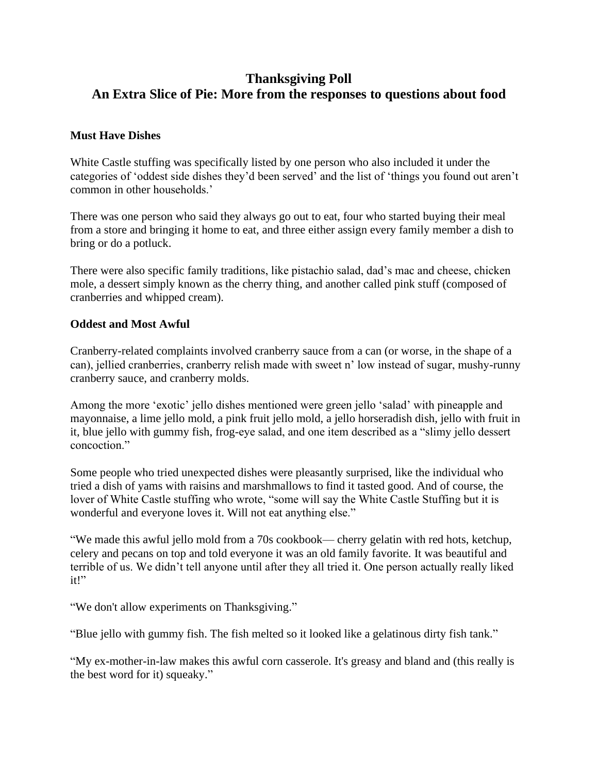# **Thanksgiving Poll An Extra Slice of Pie: More from the responses to questions about food**

### **Must Have Dishes**

White Castle stuffing was specifically listed by one person who also included it under the categories of 'oddest side dishes they'd been served' and the list of 'things you found out aren't common in other households.'

There was one person who said they always go out to eat, four who started buying their meal from a store and bringing it home to eat, and three either assign every family member a dish to bring or do a potluck.

There were also specific family traditions, like pistachio salad, dad's mac and cheese, chicken mole, a dessert simply known as the cherry thing, and another called pink stuff (composed of cranberries and whipped cream).

#### **Oddest and Most Awful**

Cranberry-related complaints involved cranberry sauce from a can (or worse, in the shape of a can), jellied cranberries, cranberry relish made with sweet n' low instead of sugar, mushy-runny cranberry sauce, and cranberry molds.

Among the more 'exotic' jello dishes mentioned were green jello 'salad' with pineapple and mayonnaise, a lime jello mold, a pink fruit jello mold, a jello horseradish dish, jello with fruit in it, blue jello with gummy fish, frog-eye salad, and one item described as a "slimy jello dessert concoction."

Some people who tried unexpected dishes were pleasantly surprised, like the individual who tried a dish of yams with raisins and marshmallows to find it tasted good. And of course, the lover of White Castle stuffing who wrote, "some will say the White Castle Stuffing but it is wonderful and everyone loves it. Will not eat anything else."

"We made this awful jello mold from a 70s cookbook— cherry gelatin with red hots, ketchup, celery and pecans on top and told everyone it was an old family favorite. It was beautiful and terrible of us. We didn't tell anyone until after they all tried it. One person actually really liked it!"

"We don't allow experiments on Thanksgiving."

"Blue jello with gummy fish. The fish melted so it looked like a gelatinous dirty fish tank."

"My ex-mother-in-law makes this awful corn casserole. It's greasy and bland and (this really is the best word for it) squeaky."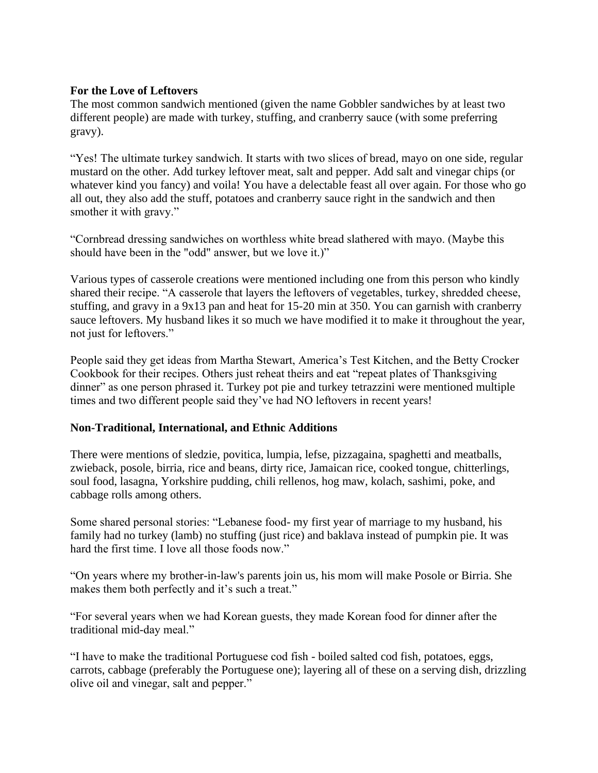## **For the Love of Leftovers**

The most common sandwich mentioned (given the name Gobbler sandwiches by at least two different people) are made with turkey, stuffing, and cranberry sauce (with some preferring gravy).

"Yes! The ultimate turkey sandwich. It starts with two slices of bread, mayo on one side, regular mustard on the other. Add turkey leftover meat, salt and pepper. Add salt and vinegar chips (or whatever kind you fancy) and voila! You have a delectable feast all over again. For those who go all out, they also add the stuff, potatoes and cranberry sauce right in the sandwich and then smother it with gravy."

"Cornbread dressing sandwiches on worthless white bread slathered with mayo. (Maybe this should have been in the "odd" answer, but we love it.)"

Various types of casserole creations were mentioned including one from this person who kindly shared their recipe. "A casserole that layers the leftovers of vegetables, turkey, shredded cheese, stuffing, and gravy in a 9x13 pan and heat for 15-20 min at 350. You can garnish with cranberry sauce leftovers. My husband likes it so much we have modified it to make it throughout the year, not just for leftovers."

People said they get ideas from Martha Stewart, America's Test Kitchen, and the Betty Crocker Cookbook for their recipes. Others just reheat theirs and eat "repeat plates of Thanksgiving dinner" as one person phrased it. Turkey pot pie and turkey tetrazzini were mentioned multiple times and two different people said they've had NO leftovers in recent years!

#### **Non-Traditional, International, and Ethnic Additions**

There were mentions of sledzie, povitica, lumpia, lefse, pizzagaina, spaghetti and meatballs, zwieback, posole, birria, rice and beans, dirty rice, Jamaican rice, cooked tongue, chitterlings, soul food, lasagna, Yorkshire pudding, chili rellenos, hog maw, kolach, sashimi, poke, and cabbage rolls among others.

Some shared personal stories: "Lebanese food- my first year of marriage to my husband, his family had no turkey (lamb) no stuffing (just rice) and baklava instead of pumpkin pie. It was hard the first time. I love all those foods now."

"On years where my brother-in-law's parents join us, his mom will make Posole or Birria. She makes them both perfectly and it's such a treat."

"For several years when we had Korean guests, they made Korean food for dinner after the traditional mid-day meal."

"I have to make the traditional Portuguese cod fish - boiled salted cod fish, potatoes, eggs, carrots, cabbage (preferably the Portuguese one); layering all of these on a serving dish, drizzling olive oil and vinegar, salt and pepper."